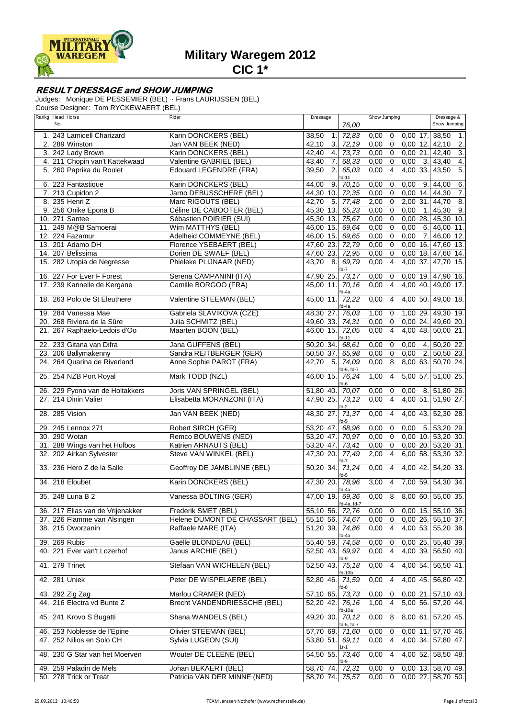

## **Military Waregem 2012**

**CIC 1\***

## **RESULT DRESSAGE and SHOW JUMPING**

Judges: Monique DE PESSEMIER (BEL) · Frans LAURIJSSEN (BEL)

Course Designer: Tom RYCKEWAERT (BEL)

| Rankg Head Horse                 | Rider                               | Dressage                             |                 | Show Jumping           |                          | Dressage &                |
|----------------------------------|-------------------------------------|--------------------------------------|-----------------|------------------------|--------------------------|---------------------------|
| No.                              |                                     |                                      | 76,00           |                        |                          | Show Jumping              |
| 1. 243 Lamicell Charizard        | Karin DONCKERS (BEL)                | 38,50<br>1.                          | 72,83           | 0,00<br>$\mathbf 0$    | $0,00$ 17.               | 38,50<br>1.               |
| 2. 289 Winston                   | Jan VAN BEEK (NED)                  | 42,10<br>3.                          | 72,19           | $\overline{0}$<br>0,00 | $0,00$ 12.               | $\overline{2}$<br>42.10   |
| 3. 242 Lady Brown                | Karin DONCKERS (BEL)                | 42,40<br>4.                          | 73,73           | $\mathbf 0$<br>0,00    | $0,00$ 21.               | $\overline{3}$ .<br>42,40 |
| 4. 211 Chopin van't Kattekwaad   | Valentine GABRIEL (BEL)             | 7.<br>43,40                          | 68,33           | $\mathbf 0$<br>0,00    | 3.<br>0,00               | $\overline{4}$<br>43,40   |
| 5. 260 Paprika du Roulet         | <b>Edouard LEGENDRE (FRA)</b>       | 2.<br>39,50                          | 65,03           | $\overline{4}$<br>0,00 | 4,00<br>33.              | 43,50<br>5.               |
| 6. 223 Fantastique               | Karin DONCKERS (BEL)                | 44,00<br>9.                          | fd-11<br>70,15  | 0,00<br>0              | 0,00<br>9.               | 6<br>44,00                |
| 7. 213 Cupidon 2                 | Jarno DEBUSSCHERE (BEL)             | 44,30 10.                            | 72,35           | $\pmb{0}$<br>0,00      | 0,00<br>14.              | $\overline{7}$ .<br>44,30 |
| 8. 235 Henri Z                   | Marc RIGOUTS (BEL)                  | 42,70<br>5.                          | 77,48           | 2,00<br>$\mathbf 0$    | 2,00<br>31.              | $\overline{8}$<br>44,70   |
| 9. 256 Onike Epona B             | Céline DE CABOOTER (BEL)            | 45,30 13.                            | 65,23           | 0,00<br>$\mathbf 0$    | 0,00<br>$\overline{1}$ . | -9.<br>45,30              |
| 10. 271 Santee                   | Sébastien POIRIER (SUI)             | 45,30 13.                            | 75,67           | $\overline{0}$<br>0,00 | 0,00<br>28.              | 45,30 10                  |
| 11. 249 M@B Samoerai             | Wim MATTHYS (BEL)                   | 46,00 15.                            | 69,64           | $\mathbf 0$<br>0,00    | 0,00<br>6.               | 11<br>46,00               |
| 12. 224 Fazamur                  | Adelheid COMMEYNE (BEL)             | 46,00<br>15.                         | 69,65           | 0,00<br>$\mathbf 0$    | 0,00<br>7.               | $\overline{12}$<br>46,00  |
| 13. 201 Adamo DH                 | Florence YSEBAERT (BEL)             | 47,60 23.                            | 72,79           | $\mathbf 0$<br>0,00    | $0,00$ 16.               | 47,60 13.                 |
| 14. 207 Belissima                | Dorien DE SWAEF (BEL)               | 47,60<br>23.                         | 72,95           | $\mathbf 0$<br>0,00    | $0,00$ 18.               | 47,60 14.                 |
| 15. 282 Utopia de Negresse       | Phieleke PLIJNAAR (NED)             | 43,70<br>-8.                         | 69,79           | 0,00<br>$\overline{4}$ | 4,00<br>37.              | 47,70<br>15.              |
| 16. 227 For Ever F Forest        | Serena CAMPANINI (ITA)              | 47,90 25.                            | fd-7<br>73,17   | 0,00<br>0              | $0,00$ 19.               | 47,90 16.                 |
| 17. 239 Kannelle de Kergane      | Camille BORGOO (FRA)                | 45,00 11.                            | 70,16           | $\overline{4}$<br>0,00 | 4,00 40.                 | 49,00 17.                 |
|                                  |                                     |                                      | fd-4a           |                        |                          |                           |
| 18. 263 Polo de St Eleuthere     | Valentine STEEMAN (BEL)             | 45,00 11.                            | 72,22<br>d-4a   | 0,00<br>$\overline{4}$ | 4,00 50.                 | 49,00 18.                 |
| 19. 284 Vanessa Mae              | Gabriela SLAVÍKOVÁ (CZE)            | 48,30 27.                            | 76,03           | 1,00<br>0              | 1,00 29.                 | 49,30 19.                 |
| 20. 268 Riviera de la Sûre       | Julia SCHMITZ (BEL)                 | 49,60 33.                            | 74,31           | 0,00<br>$\mathbf 0$    | 0,0024.                  | 49,60 20.                 |
| 21. 267 Raphaelo-Ledois d'Oo     | Maarten BOON (BEL)                  | 46,00 15.                            | 72,05           | 0,00<br>$\overline{4}$ | 4,00 48.                 | 50,00 21.                 |
| 22. 233 Gitana van Difra         | Jana GUFFENS (BEL)                  | 50,20 34.                            | fd-11<br>68,61  | 0,00<br>$\mathbf 0$    | 0,00<br>4.               | 50,20 22.                 |
| 23. 206 Ballymakenny             | Sandra REITBERGER (GER)             | 50,50 37.                            | 65,98           | 0,00<br>$\mathbf 0$    | 0,00<br>2.               | 50,50 23.                 |
| 24. 264 Quarina de Riverland     | Anne Sophie PAROT (FRA)             | 42,70<br>- 5.                        | 74,09           | 0,00<br>8              | $8,00$ 63.               | 50,70 24.                 |
|                                  |                                     |                                      | fd-6, fd-7      |                        |                          |                           |
| 25. 254 NZB Port Royal           | Mark TODD (NZL)                     | 46,00 15.                            | 76,24           | 1,00<br>$\overline{4}$ | 5,00 57.                 | 51,00 25.                 |
| 26. 229 Fyona van de Holtakkers  | Joris VAN SPRINGEL (BEL)            | 51,80 40.                            | fd-6<br>70,07   | 0,00<br>0              | 0,00<br>8.               | 51,80 26.                 |
| 27. 214 Dinin Valier             | Elisabetta MORANZONI (ITA)          | 47,90 25.                            | 73,12           | 0,00<br>$\overline{4}$ | $4,00$ 51.               | 51,90 27.                 |
|                                  |                                     |                                      | $fd-2$          |                        |                          |                           |
| 28. 285 Vision                   | Jan VAN BEEK (NED)                  | 48,30 27.                            | 71,37<br>fd-5   | 0,00<br>$\overline{4}$ | 4,00 43.                 | 52,30 28                  |
| 29. 245 Lennox 271               | Robert SIRCH (GER)                  | 53,20 47.                            | 68,96           | 0,00<br>$\mathbf 0$    | 0,00<br>5.               | 53,20 29.                 |
| 30. 290 Wotan                    | Remco BOUWENS (NED)                 | 53,20 47.                            | 70,97           | $\Omega$<br>0,00       | $0,00$ 10.               | 53,20 30.                 |
| 31. 288 Wings van het Hulbos     | Katrien ARNAUTS (BEL)               | 53,20 47.                            | 73,41           | 0,00<br>$\mathbf 0$    | 0,0020.                  | 53,20 31                  |
| 32. 202 Airkan Sylvester         | Steve VAN WINKEL (BEL)              | 47,30 20.                            | 77,49           | 2,00<br>$\overline{4}$ | 6,0058.                  | 53,30 32.                 |
|                                  |                                     |                                      | fd-7            |                        |                          |                           |
| 33. 236 Hero Z de la Salle       | Geoffroy DE JAMBLINNE (BEL)         | 50,20 34.                            | 71,24<br>fd-5   | 0,00<br>4              | 4,00 42.                 | 54,20 33.                 |
| 34. 218 Eloubet                  | Karin DONCKERS (BEL)                | 47,30 20.                            | 78,96           | 3,00<br>$\overline{4}$ | 7,00 59.                 | 54,30 34.                 |
| 35. 248 Luna B 2                 | Vanessa BÖLTING (GER)               | $\frac{10^{10}-4a}{47,00}$ 19. 69,36 |                 | 0,00                   |                          | 8 8,00 60. 55,00 35.      |
|                                  |                                     |                                      | fd-4a, fd-7     |                        |                          |                           |
| 36. 217 Elias van de Vrijenakker | Frederik SMET (BEL)                 | 55,10 56.                            | 72,76           | 0,00<br>0              | $0,00$ 15.               | 55,10 36.                 |
| 37. 226 Flamme van Alsingen      | Helene DUMONT DE CHASSART (BEL)     | 55,10 56.                            | 74,67           | $\mathbf 0$<br>0,00    |                          | $0,00$ 26. 55,10 37.      |
| 38. 215 Dworzanin                | Raffaele MARE (ITA)                 | 51,20 39.                            | 74,86           | $\overline{4}$<br>0,00 | $4,00$ 53.               | 55,20 38.                 |
|                                  |                                     |                                      | fd-4a           |                        |                          |                           |
| 39. 269 Rubis                    | Gaëlle BLONDEAU (BEL)               | 55,40 59.                            | 74,58           | 0,00<br>$\mathbf 0$    | 0,0025.                  | 55,40 39.                 |
| 40. 221 Ever van't Lozerhof      | Janus ARCHIE (BEL)                  | 52,50 43.                            | 69,97<br>fd-9   | $0,00$ 4               |                          | 4,00 39. 56,50 40.        |
| 41. 279 Trinet                   | Stefaan VAN WICHELEN (BEL)          | 52,50 43.                            | 75,18           | 0,00<br>$\overline{4}$ | 4,00 54.                 | 56,50 41.                 |
|                                  |                                     |                                      | fd-10b          |                        |                          |                           |
| 42. 281 Uniek                    | Peter DE WISPELAERE (BEL)           | 52,80 46.                            | 71,59<br>fd-8   | 0,00<br>$\overline{4}$ | 4,00 45.                 | 56,80 42.                 |
| 43. 292 Zig Zag                  | Marlou CRAMER (NED)                 | 57,10 65.                            | 73,73           | 0,00<br>0              |                          | $0,00$ 21. 57,10 43.      |
| 44. 216 Electra vd Bunte Z       | <b>Brecht VANDENDRIESSCHE (BEL)</b> | 52.20 42.                            | 76.16           | $1,00$ 4               |                          | 5,00 56. 57,20 44.        |
| 45. 241 Krovo S Bugatti          | Shana WANDELS (BEL)                 | 49,20 30.                            | fd-10a<br>70,12 | 0,00<br>8              |                          | 8,00 61. 57,20 45.        |
|                                  |                                     |                                      | fd-5, fd-7      |                        |                          |                           |
| 46. 253 Noblesse de l'Epine      | Olivier STEEMAN (BEL)               | 57,70 69.                            | 71,60           | 0,00<br>0              | $0,00$ 11.               | 57,70 46.                 |
| 47. 252 Nilios en Solo CH        | Sylvia LUGEON (SUI)                 | 53,80 51. 69,11                      |                 | 0,00<br>$\overline{4}$ | 4,00 34.                 | 57,80 47.                 |
| 48. 230 G Star van het Moerven   | <b>Wouter DE CLEENE (BEL)</b>       | 54,50 55.                            | l r-1<br>73,46  | 0,00<br>4              | $4,00$ 52.               | 58,50 48.                 |
|                                  |                                     |                                      | fd-9            |                        |                          |                           |
| 49. 259 Paladin de Mels          | Johan BEKAERT (BEL)                 | 58,70 74. 72,31                      |                 | 0,00<br>$\overline{0}$ |                          | 0,00 13. 58,70 49.        |
| 50. 278 Trick or Treat           | Patricia VAN DER MINNE (NED)        | 58,70 74. 75,57                      |                 | $0,00 \quad 0$         |                          | 0,00 27. 58,70 50.        |